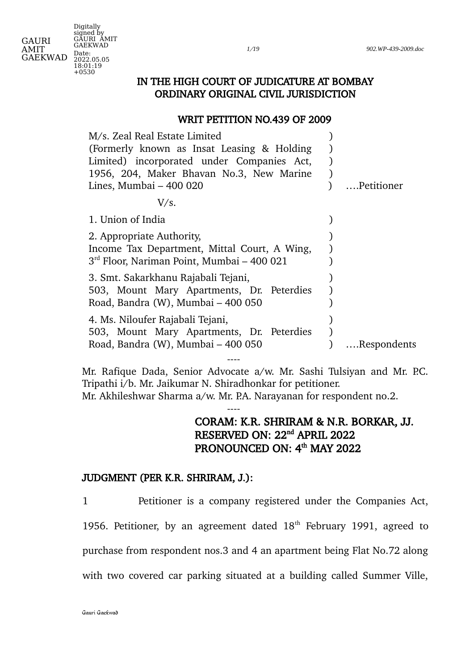*1*/*19 902.WP-439-2009.doc*

GAURI GAEKWAD Digitally signed by GAURI AMIT GAEKWAD Date: 2022.05.05 18:01:19 +0530

AMIT

## IN THE HIGH COURT OF JUDICATURE AT BOMBAY ORDINARY ORIGINAL CIVIL JURISDICTION

## WRIT PETITION NO.439 OF 2009

| M/s. Zeal Real Estate Limited                |             |
|----------------------------------------------|-------------|
| (Formerly known as Insat Leasing & Holding   |             |
| Limited) incorporated under Companies Act,   |             |
| 1956, 204, Maker Bhavan No.3, New Marine     |             |
| Lines, Mumbai - 400 020                      | Petitioner  |
| V/s.                                         |             |
| 1. Union of India                            |             |
| 2. Appropriate Authority,                    |             |
| Income Tax Department, Mittal Court, A Wing, |             |
| $3rd$ Floor, Nariman Point, Mumbai – 400 021 |             |
| 3. Smt. Sakarkhanu Rajabali Tejani,          |             |
| 503, Mount Mary Apartments, Dr. Peterdies    |             |
| Road, Bandra (W), Mumbai - 400 050           |             |
| 4. Ms. Niloufer Rajabali Tejani,             |             |
| 503, Mount Mary Apartments, Dr. Peterdies    |             |
| Road, Bandra (W), Mumbai - 400 050           | Respondents |
|                                              |             |

Mr. Rafique Dada, Senior Advocate a/w. Mr. Sashi Tulsiyan and Mr. P.C. Tripathi i/b. Mr. Jaikumar N. Shiradhonkar for petitioner. Mr. Akhileshwar Sharma a/w. Mr. P.A. Narayanan for respondent no.2.

----

# CORAM: K.R. SHRIRAM & N.R. BORKAR, JJ. RESERVED ON: 22<sup>nd</sup> APRIL 2022 PRONOUNCED ON: 4<sup>th</sup> MAY 2022

## JUDGMENT (PER K.R. SHRIRAM, J.):

1 Petitioner is a company registered under the Companies Act, 1956. Petitioner, by an agreement dated  $18<sup>th</sup>$  February 1991, agreed to purchase from respondent nos.3 and 4 an apartment being Flat No.72 along with two covered car parking situated at a building called Summer Ville,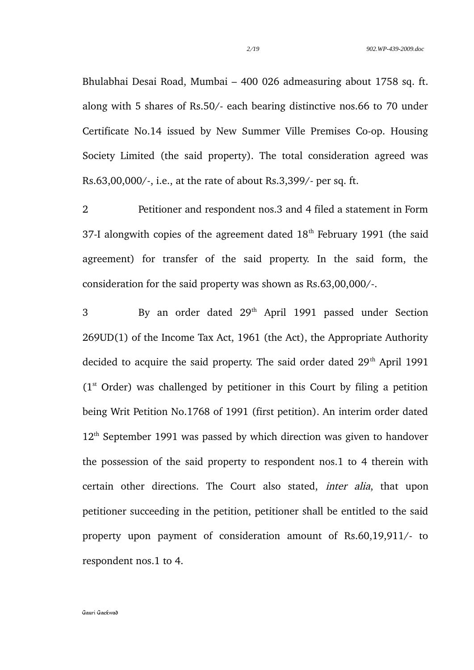Bhulabhai Desai Road, Mumbai – 400 026 admeasuring about 1758 sq. ft. along with 5 shares of Rs.50/- each bearing distinctive nos.66 to 70 under Certificate No.14 issued by New Summer Ville Premises Co-op. Housing Society Limited (the said property). The total consideration agreed was Rs.63,00,000/-, i.e., at the rate of about Rs.3,399/- per sq. ft.

2 Petitioner and respondent nos.3 and 4 filed a statement in Form 37-I alongwith copies of the agreement dated  $18<sup>th</sup>$  February 1991 (the said agreement) for transfer of the said property. In the said form, the consideration for the said property was shown as Rs.63,00,000/-.

3 By an order dated 29th April 1991 passed under Section 269UD(1) of the Income Tax Act, 1961 (the Act), the Appropriate Authority decided to acquire the said property. The said order dated  $29<sup>th</sup>$  April 1991  $(1<sup>st</sup> Order)$  was challenged by petitioner in this Court by filing a petition being Writ Petition No.1768 of 1991 (first petition). An interim order dated  $12<sup>th</sup>$  September 1991 was passed by which direction was given to handover the possession of the said property to respondent nos.1 to 4 therein with certain other directions. The Court also stated, inter alia, that upon petitioner succeeding in the petition, petitioner shall be entitled to the said property upon payment of consideration amount of Rs.60,19,911/- to respondent nos.1 to 4.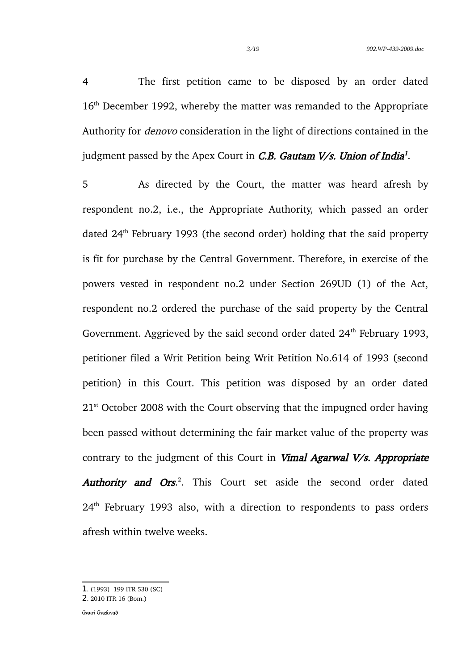4 The first petition came to be disposed by an order dated 16<sup>th</sup> December 1992, whereby the matter was remanded to the Appropriate Authority for denovo consideration in the light of directions contained in the judgment passed by the Apex Court in *C.B. Gautam V/s. Union of India<sup>[1](#page-2-0)</sup>.* 

5 As directed by the Court, the matter was heard afresh by respondent no.2, i.e., the Appropriate Authority, which passed an order dated 24<sup>th</sup> February 1993 (the second order) holding that the said property is fit for purchase by the Central Government. Therefore, in exercise of the powers vested in respondent no.2 under Section 269UD (1) of the Act, respondent no.2 ordered the purchase of the said property by the Central Government. Aggrieved by the said second order dated  $24<sup>th</sup>$  February 1993, petitioner filed a Writ Petition being Writ Petition No.614 of 1993 (second petition) in this Court. This petition was disposed by an order dated  $21<sup>st</sup>$  October 2008 with the Court observing that the impugned order having been passed without determining the fair market value of the property was contrary to the judgment of this Court in Vimal Agarwal V/s. Appropriate Authority and Ors.<sup>[2](#page-2-1)</sup>. This Court set aside the second order dated  $24<sup>th</sup>$  February 1993 also, with a direction to respondents to pass orders afresh within twelve weeks.

<span id="page-2-0"></span><sup>1</sup>. (1993) 199 ITR 530 (SC)

<span id="page-2-1"></span><sup>2</sup>. 2010 ITR 16 (Bom.)

Gauri Gaekwad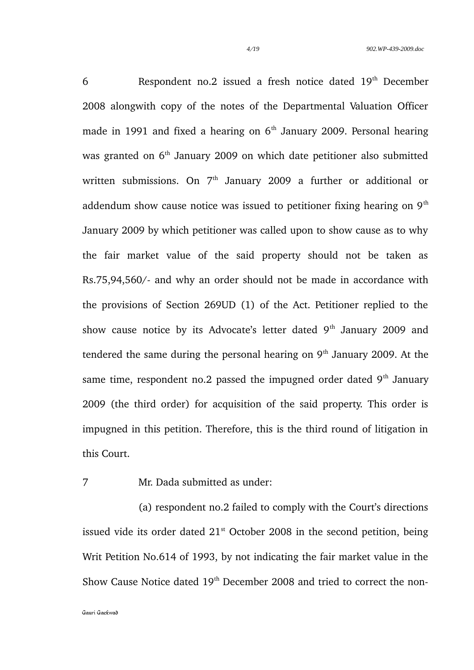6 Respondent no.2 issued a fresh notice dated 19<sup>th</sup> December 2008 alongwith copy of the notes of the Departmental Valuation Officer made in 1991 and fixed a hearing on  $6<sup>th</sup>$  January 2009. Personal hearing was granted on 6<sup>th</sup> January 2009 on which date petitioner also submitted written submissions. On  $7<sup>th</sup>$  January 2009 a further or additional or addendum show cause notice was issued to petitioner fixing hearing on  $9<sup>th</sup>$ January 2009 by which petitioner was called upon to show cause as to why the fair market value of the said property should not be taken as Rs.75,94,560/- and why an order should not be made in accordance with the provisions of Section 269UD (1) of the Act. Petitioner replied to the show cause notice by its Advocate's letter dated  $9<sup>th</sup>$  January 2009 and tendered the same during the personal hearing on  $9<sup>th</sup>$  January 2009. At the same time, respondent no.2 passed the impugned order dated  $9<sup>th</sup>$  January 2009 (the third order) for acquisition of the said property. This order is impugned in this petition. Therefore, this is the third round of litigation in this Court.

7 Mr. Dada submitted as under:

(a) respondent no.2 failed to comply with the Court's directions issued vide its order dated  $21<sup>st</sup>$  October 2008 in the second petition, being Writ Petition No.614 of 1993, by not indicating the fair market value in the Show Cause Notice dated 19<sup>th</sup> December 2008 and tried to correct the non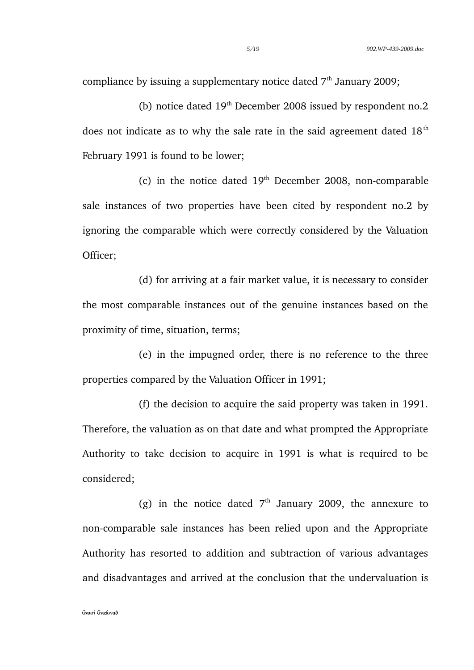compliance by issuing a supplementary notice dated  $7<sup>th</sup>$  January 2009;

(b) notice dated  $19<sup>th</sup>$  December 2008 issued by respondent no.2 does not indicate as to why the sale rate in the said agreement dated  $18<sup>th</sup>$ February 1991 is found to be lower;

(c) in the notice dated  $19<sup>th</sup>$  December 2008, non-comparable sale instances of two properties have been cited by respondent no.2 by ignoring the comparable which were correctly considered by the Valuation Officer;

(d) for arriving at a fair market value, it is necessary to consider the most comparable instances out of the genuine instances based on the proximity of time, situation, terms;

(e) in the impugned order, there is no reference to the three properties compared by the Valuation Officer in 1991;

(f) the decision to acquire the said property was taken in 1991. Therefore, the valuation as on that date and what prompted the Appropriate Authority to take decision to acquire in 1991 is what is required to be considered;

(g) in the notice dated  $7<sup>th</sup>$  January 2009, the annexure to non-comparable sale instances has been relied upon and the Appropriate Authority has resorted to addition and subtraction of various advantages and disadvantages and arrived at the conclusion that the undervaluation is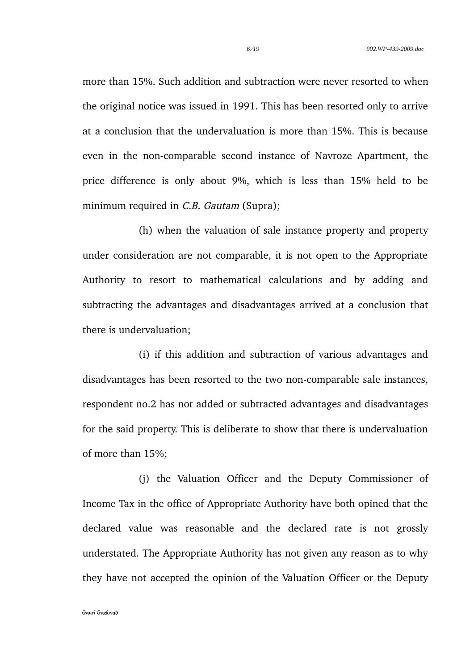more than 15%. Such addition and subtraction were never resorted to when the original notice was issued in 1991. This has been resorted only to arrive at a conclusion that the undervaluation is more than 15%. This is because even in the non-comparable second instance of Navroze Apartment, the price difference is only about 9%, which is less than 15% held to be minimum required in *C.B. Gautam* (Supra):

(h) when the valuation of sale instance property and property under consideration are not comparable, it is not open to the Appropriate Authority to resort to mathematical calculations and by adding and subtracting the advantages and disadvantages arrived at a conclusion that there is undervaluation;

(i) if this addition and subtraction of various advantages and disadvantages has been resorted to the two non-comparable sale instances, respondent no.2 has not added or subtracted advantages and disadvantages for the said property. This is deliberate to show that there is undervaluation of more than 15%;

(j) the Valuation Officer and the Deputy Commissioner of Income Tax in the office of Appropriate Authority have both opined that the declared value was reasonable and the declared rate is not grossly understated. The Appropriate Authority has not given any reason as to why they have not accepted the opinion of the Valuation Officer or the Deputy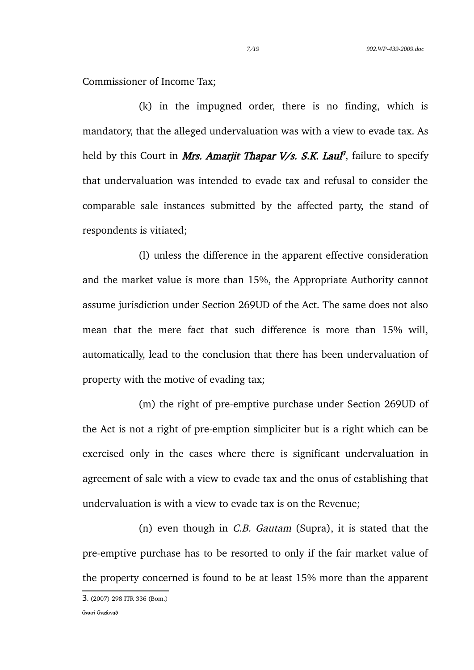Commissioner of Income Tax;

(k) in the impugned order, there is no finding, which is mandatory, that the alleged undervaluation was with a view to evade tax. As held by this Court in *Mrs. Amarjit Thapar V/s. S.K. Laul<sup>[3](#page-6-0)</sup>, failure to specify* that undervaluation was intended to evade tax and refusal to consider the comparable sale instances submitted by the affected party, the stand of respondents is vitiated;

(l) unless the difference in the apparent effective consideration and the market value is more than 15%, the Appropriate Authority cannot assume jurisdiction under Section 269UD of the Act. The same does not also mean that the mere fact that such difference is more than 15% will, automatically, lead to the conclusion that there has been undervaluation of property with the motive of evading tax;

(m) the right of pre-emptive purchase under Section 269UD of the Act is not a right of pre-emption simpliciter but is a right which can be exercised only in the cases where there is significant undervaluation in agreement of sale with a view to evade tax and the onus of establishing that undervaluation is with a view to evade tax is on the Revenue;

(n) even though in C.B. Gautam (Supra), it is stated that the pre-emptive purchase has to be resorted to only if the fair market value of the property concerned is found to be at least 15% more than the apparent

<span id="page-6-0"></span><sup>3</sup>. (2007) 298 ITR 336 (Bom.)

Gauri Gaekwad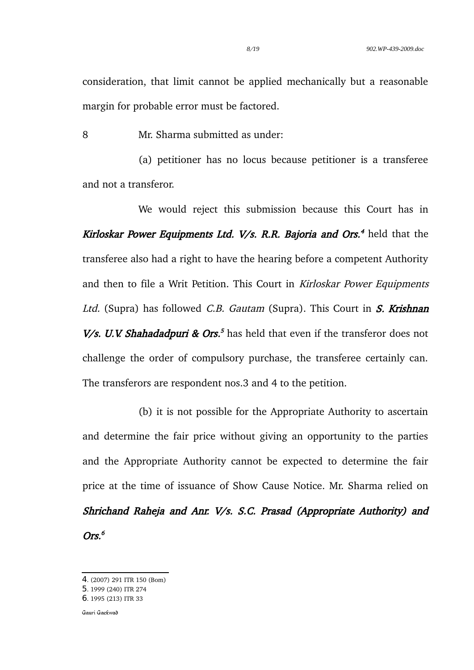consideration, that limit cannot be applied mechanically but a reasonable margin for probable error must be factored.

8 Mr. Sharma submitted as under:

(a) petitioner has no locus because petitioner is a transferee and not a transferor.

We would reject this submission because this Court has in *Kirloskar Power Equipments Ltd. V/s. R.R. Bajoria and Ors.<sup>[4](#page-7-0)</sup> held that the* transferee also had a right to have the hearing before a competent Authority and then to file a Writ Petition. This Court in Kirloskar Power Equipments Ltd. (Supra) has followed C.B. Gautam (Supra). This Court in  $S$ . Krishnan *V/s. U.V. Shahadadpuri & Ors.*<sup>[5](#page-7-1)</sup> has held that even if the transferor does not challenge the order of compulsory purchase, the transferee certainly can. The transferors are respondent nos.3 and 4 to the petition.

 (b) it is not possible for the Appropriate Authority to ascertain and determine the fair price without giving an opportunity to the parties and the Appropriate Authority cannot be expected to determine the fair price at the time of issuance of Show Cause Notice. Mr. Sharma relied on Shrichand Raheja and Anr. V/s. S.C. Prasad (Appropriate Authority) and Ors. [6](#page-7-2)

<span id="page-7-0"></span><sup>4</sup>. (2007) 291 ITR 150 (Bom)

<span id="page-7-1"></span><sup>5</sup>. 1999 (240) ITR 274

<span id="page-7-2"></span><sup>6</sup>. 1995 (213) ITR 33

Gauri Gaekwad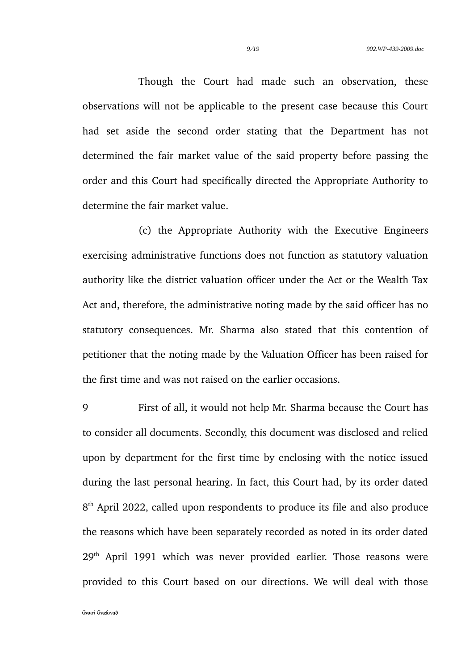Though the Court had made such an observation, these observations will not be applicable to the present case because this Court had set aside the second order stating that the Department has not determined the fair market value of the said property before passing the order and this Court had specifically directed the Appropriate Authority to determine the fair market value.

(c) the Appropriate Authority with the Executive Engineers exercising administrative functions does not function as statutory valuation authority like the district valuation officer under the Act or the Wealth Tax Act and, therefore, the administrative noting made by the said officer has no statutory consequences. Mr. Sharma also stated that this contention of petitioner that the noting made by the Valuation Officer has been raised for the first time and was not raised on the earlier occasions.

9 First of all, it would not help Mr. Sharma because the Court has to consider all documents. Secondly, this document was disclosed and relied upon by department for the first time by enclosing with the notice issued during the last personal hearing. In fact, this Court had, by its order dated 8<sup>th</sup> April 2022, called upon respondents to produce its file and also produce the reasons which have been separately recorded as noted in its order dated 29<sup>th</sup> April 1991 which was never provided earlier. Those reasons were provided to this Court based on our directions. We will deal with those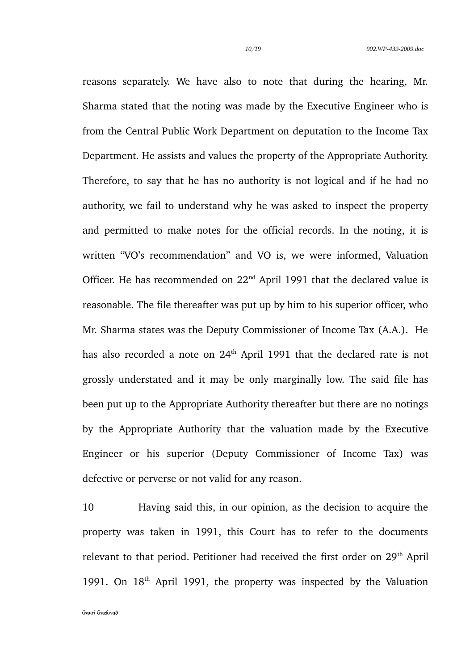reasons separately. We have also to note that during the hearing, Mr. Sharma stated that the noting was made by the Executive Engineer who is from the Central Public Work Department on deputation to the Income Tax Department. He assists and values the property of the Appropriate Authority. Therefore, to say that he has no authority is not logical and if he had no authority, we fail to understand why he was asked to inspect the property and permitted to make notes for the official records. In the noting, it is written "VO's recommendation" and VO is, we were informed, Valuation Officer. He has recommended on  $22<sup>nd</sup>$  April 1991 that the declared value is reasonable. The file thereafter was put up by him to his superior officer, who Mr. Sharma states was the Deputy Commissioner of Income Tax (A.A.). He has also recorded a note on 24<sup>th</sup> April 1991 that the declared rate is not grossly understated and it may be only marginally low. The said file has been put up to the Appropriate Authority thereafter but there are no notings by the Appropriate Authority that the valuation made by the Executive Engineer or his superior (Deputy Commissioner of Income Tax) was defective or perverse or not valid for any reason.

10 Having said this, in our opinion, as the decision to acquire the property was taken in 1991, this Court has to refer to the documents relevant to that period. Petitioner had received the first order on 29<sup>th</sup> April 1991. On  $18<sup>th</sup>$  April 1991, the property was inspected by the Valuation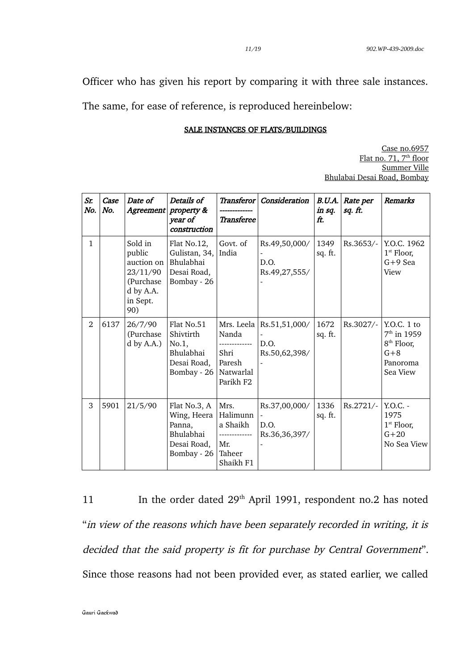Officer who has given his report by comparing it with three sale instances.

The same, for ease of reference, is reproduced hereinbelow:

#### SALE INSTANCES OF FLATS/BUILDINGS

Case no.6957 Flat no. 71, 7<sup>th</sup> floor Summer Ville Bhulabai Desai Road, Bombay

| Sr.<br>No.     | Case<br>No. | Date of<br>Agreement                                                                     | Details of<br>property &<br>year of<br>construction                              | <b>Transferee</b>                                                           | Transferor Consideration                                           | B.U.A.<br>in sq.<br>ft. | Rate per<br>sq. ft. | <b>Remarks</b>                                                                            |
|----------------|-------------|------------------------------------------------------------------------------------------|----------------------------------------------------------------------------------|-----------------------------------------------------------------------------|--------------------------------------------------------------------|-------------------------|---------------------|-------------------------------------------------------------------------------------------|
| $\mathbf{1}$   |             | Sold in<br>public<br>auction on<br>23/11/90<br>(Purchase<br>d by A.A.<br>in Sept.<br>90) | Flat No.12,<br>Gulistan, 34,<br>Bhulabhai<br>Desai Road,<br>Bombay - 26          | Govt. of<br>India                                                           | Rs.49,50,000/<br>D.O.<br>Rs.49,27,555/                             | 1349<br>sq. ft.         | Rs.3653/-           | Y.O.C. 1962<br>$1st$ Floor,<br>$G+9$ Sea<br>View                                          |
| $\mathfrak{D}$ | 6137        | 26/7/90<br>(Purchase<br>$d$ by A.A.)                                                     | Flat No.51<br>Shivtirth<br>No.1,<br>Bhulabhai<br>Desai Road,<br>Bombay - 26      | Mrs. Leela<br>Nanda<br>Shri<br>Paresh<br>Natwarlal<br>Parikh F2             | Rs.51,51,000/<br>D.O.<br>Rs.50,62,398/                             | 1672<br>sq. ft.         | Rs.3027/-           | $Y.O.C.$ 1 to<br>$7th$ in 1959<br>8 <sup>th</sup> Floor,<br>$G+8$<br>Panoroma<br>Sea View |
| 3              | 5901        | 21/5/90                                                                                  | Flat No.3, A<br>Wing, Heera<br>Panna,<br>Bhulabhai<br>Desai Road,<br>Bombay - 26 | Mrs.<br>Halimunn<br>a Shaikh<br>-------------<br>Mr.<br>Taheer<br>Shaikh F1 | Rs.37,00,000/<br>$\overline{\phantom{a}}$<br>D.O.<br>Rs.36,36,397/ | 1336<br>sq. ft.         | Rs.2721/-           | $Y.O.C. -$<br>1975<br>$1st$ Floor,<br>$G + 20$<br>No Sea View                             |

11 In the order dated 29<sup>th</sup> April 1991, respondent no.2 has noted "in view of the reasons which have been separately recorded in writing, it is decided that the said property is fit for purchase by Central Government". Since those reasons had not been provided ever, as stated earlier, we called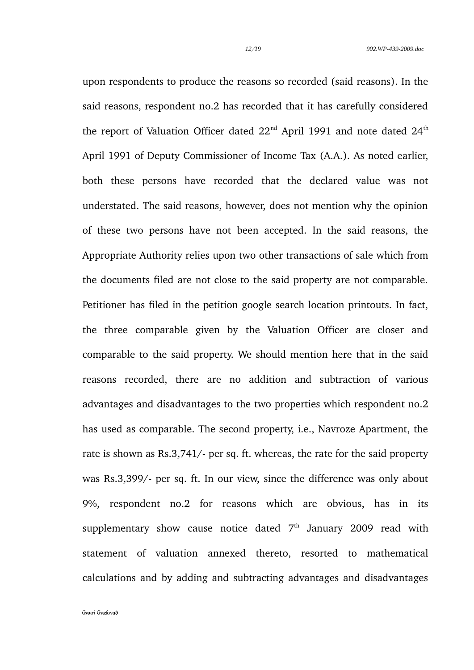upon respondents to produce the reasons so recorded (said reasons). In the said reasons, respondent no.2 has recorded that it has carefully considered the report of Valuation Officer dated  $22<sup>nd</sup>$  April 1991 and note dated  $24<sup>th</sup>$ April 1991 of Deputy Commissioner of Income Tax (A.A.). As noted earlier, both these persons have recorded that the declared value was not understated. The said reasons, however, does not mention why the opinion of these two persons have not been accepted. In the said reasons, the Appropriate Authority relies upon two other transactions of sale which from the documents filed are not close to the said property are not comparable. Petitioner has filed in the petition google search location printouts. In fact, the three comparable given by the Valuation Officer are closer and comparable to the said property. We should mention here that in the said reasons recorded, there are no addition and subtraction of various advantages and disadvantages to the two properties which respondent no.2 has used as comparable. The second property, i.e., Navroze Apartment, the rate is shown as Rs.3,741/- per sq. ft. whereas, the rate for the said property was Rs.3,399/- per sq. ft. In our view, since the difference was only about 9%, respondent no.2 for reasons which are obvious, has in its supplementary show cause notice dated  $7<sup>th</sup>$  January 2009 read with statement of valuation annexed thereto, resorted to mathematical calculations and by adding and subtracting advantages and disadvantages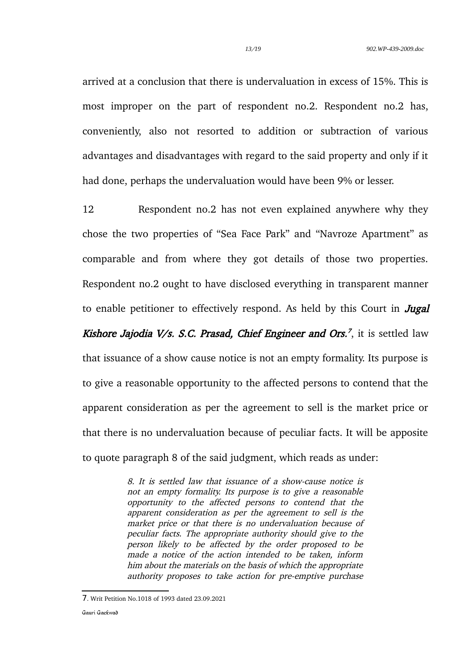arrived at a conclusion that there is undervaluation in excess of 15%. This is most improper on the part of respondent no.2. Respondent no.2 has, conveniently, also not resorted to addition or subtraction of various advantages and disadvantages with regard to the said property and only if it had done, perhaps the undervaluation would have been 9% or lesser.

12 Respondent no.2 has not even explained anywhere why they chose the two properties of "Sea Face Park" and "Navroze Apartment" as comparable and from where they got details of those two properties. Respondent no.2 ought to have disclosed everything in transparent manner to enable petitioner to effectively respond. As held by this Court in **Jugal** Kishore Jajodia V/s. S.C. Prasad, Chief Engineer and Ors.<sup>[7](#page-12-0)</sup>, it is settled law that issuance of a show cause notice is not an empty formality. Its purpose is to give a reasonable opportunity to the affected persons to contend that the apparent consideration as per the agreement to sell is the market price or that there is no undervaluation because of peculiar facts. It will be apposite to quote paragraph 8 of the said judgment, which reads as under:

> 8. It is settled law that issuance of a show-cause notice is not an empty formality. Its purpose is to give a reasonable opportunity to the affected persons to contend that the apparent consideration as per the agreement to sell is the market price or that there is no undervaluation because of peculiar facts. The appropriate authority should give to the person likely to be affected by the order proposed to be made a notice of the action intended to be taken, inform him about the materials on the basis of which the appropriate authority proposes to take action for pre-emptive purchase

<span id="page-12-0"></span><sup>7</sup>. Writ Petition No.1018 of 1993 dated 23.09.2021

Gauri Gaekwad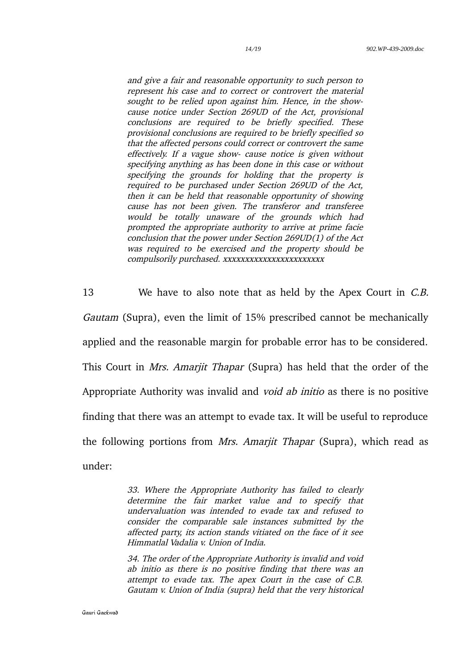and give a fair and reasonable opportunity to such person to represent his case and to correct or controvert the material sought to be relied upon against him. Hence, in the showcause notice under Section 269UD of the Act, provisional conclusions are required to be briefly specified. These provisional conclusions are required to be briefly specified so that the affected persons could correct or controvert the same effectively. If a vague show- cause notice is given without specifying anything as has been done in this case or without specifying the grounds for holding that the property is required to be purchased under Section 269UD of the Act, then it can be held that reasonable opportunity of showing cause has not been given. The transferor and transferee would be totally unaware of the grounds which had prompted the appropriate authority to arrive at prime facie conclusion that the power under Section 269UD(1) of the Act was required to be exercised and the property should be compulsorily purchased. xxxxxxxxxxxxxxxxxxxxxxx

13 We have to also note that as held by the Apex Court in *C.B.* Gautam (Supra), even the limit of 15% prescribed cannot be mechanically applied and the reasonable margin for probable error has to be considered. This Court in *Mrs. Amarjit Thapar* (Supra) has held that the order of the Appropriate Authority was invalid and void ab initio as there is no positive finding that there was an attempt to evade tax. It will be useful to reproduce the following portions from Mrs. Amarjit Thapar (Supra), which read as under:

> 33. Where the Appropriate Authority has failed to clearly determine the fair market value and to specify that undervaluation was intended to evade tax and refused to consider the comparable sale instances submitted by the affected party, its action stands vitiated on the face of it see Himmatlal Vadalia v. Union of India.

> 34. The order of the Appropriate Authority is invalid and void ab initio as there is no positive finding that there was an attempt to evade tax. The apex Court in the case of C.B. Gautam v. Union of India (supra) held that the very historical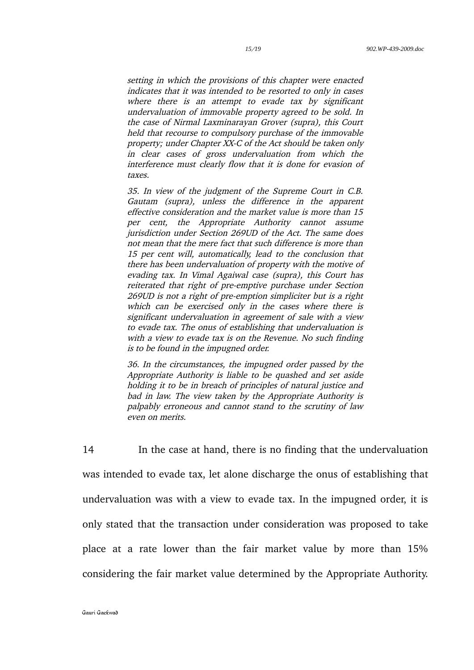setting in which the provisions of this chapter were enacted indicates that it was intended to be resorted to only in cases where there is an attempt to evade tax by significant undervaluation of immovable property agreed to be sold. In the case of Nirmal Laxminarayan Grover (supra), this Court held that recourse to compulsory purchase of the immovable property; under Chapter XX-C of the Act should be taken only in clear cases of gross undervaluation from which the interference must clearly flow that it is done for evasion of taxes.

35. In view of the judgment of the Supreme Court in C.B. Gautam (supra), unless the difference in the apparent effective consideration and the market value is more than 15 per cent, the Appropriate Authority cannot assume jurisdiction under Section 269UD of the Act. The same does not mean that the mere fact that such difference is more than 15 per cent will, automatically, lead to the conclusion that there has been undervaluation of property with the motive of evading tax. In Vimal Agaiwal case (supra), this Court has reiterated that right of pre-emptive purchase under Section 269UD is not a right of pre-emption simpliciter but is a right which can be exercised only in the cases where there is significant undervaluation in agreement of sale with a view to evade tax. The onus of establishing that undervaluation is with a view to evade tax is on the Revenue. No such finding is to be found in the impugned order.

36. In the circumstances, the impugned order passed by the Appropriate Authority is liable to be quashed and set aside holding it to be in breach of principles of natural justice and bad in law. The view taken by the Appropriate Authority is palpably erroneous and cannot stand to the scrutiny of law even on merits.

14 In the case at hand, there is no finding that the undervaluation was intended to evade tax, let alone discharge the onus of establishing that undervaluation was with a view to evade tax. In the impugned order, it is only stated that the transaction under consideration was proposed to take place at a rate lower than the fair market value by more than 15% considering the fair market value determined by the Appropriate Authority.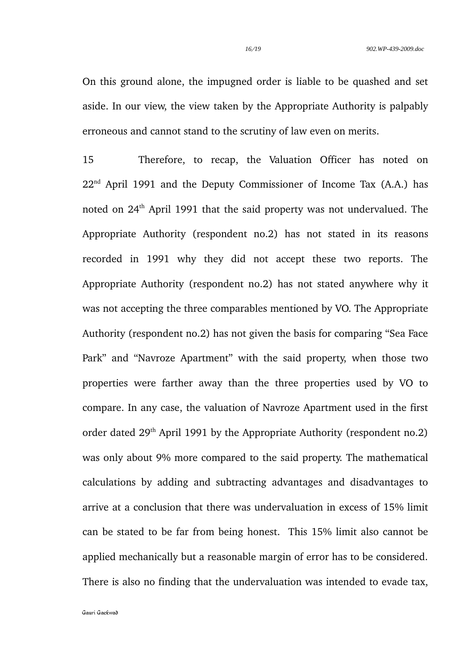On this ground alone, the impugned order is liable to be quashed and set aside. In our view, the view taken by the Appropriate Authority is palpably erroneous and cannot stand to the scrutiny of law even on merits.

15 Therefore, to recap, the Valuation Officer has noted on 22nd April 1991 and the Deputy Commissioner of Income Tax (A.A.) has noted on 24th April 1991 that the said property was not undervalued. The Appropriate Authority (respondent no.2) has not stated in its reasons recorded in 1991 why they did not accept these two reports. The Appropriate Authority (respondent no.2) has not stated anywhere why it was not accepting the three comparables mentioned by VO. The Appropriate Authority (respondent no.2) has not given the basis for comparing "Sea Face Park" and "Navroze Apartment" with the said property, when those two properties were farther away than the three properties used by VO to compare. In any case, the valuation of Navroze Apartment used in the first order dated  $29<sup>th</sup>$  April 1991 by the Appropriate Authority (respondent no.2) was only about 9% more compared to the said property. The mathematical calculations by adding and subtracting advantages and disadvantages to arrive at a conclusion that there was undervaluation in excess of 15% limit can be stated to be far from being honest. This 15% limit also cannot be applied mechanically but a reasonable margin of error has to be considered. There is also no finding that the undervaluation was intended to evade tax,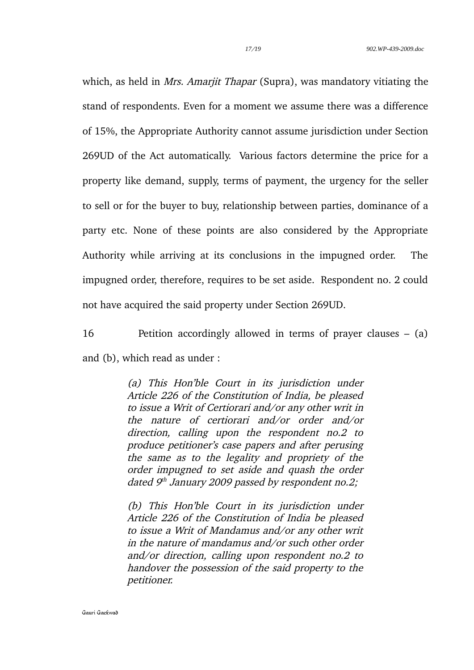which, as held in *Mrs. Amarjit Thapar* (Supra), was mandatory vitiating the stand of respondents. Even for a moment we assume there was a difference of 15%, the Appropriate Authority cannot assume jurisdiction under Section 269UD of the Act automatically. Various factors determine the price for a property like demand, supply, terms of payment, the urgency for the seller to sell or for the buyer to buy, relationship between parties, dominance of a party etc. None of these points are also considered by the Appropriate Authority while arriving at its conclusions in the impugned order. The impugned order, therefore, requires to be set aside. Respondent no. 2 could not have acquired the said property under Section 269UD.

16 Petition accordingly allowed in terms of prayer clauses – (a) and (b), which read as under :

> (a) This Hon'ble Court in its jurisdiction under Article 226 of the Constitution of India, be pleased to issue a Writ of Certiorari and/or any other writ in the nature of certiorari and/or order and/or direction, calling upon the respondent no.2 to produce petitioner's case papers and after perusing the same as to the legality and propriety of the order impugned to set aside and quash the order dated 9<sup>th</sup> January 2009 passed by respondent no.2;

> (b) This Hon'ble Court in its jurisdiction under Article 226 of the Constitution of India be pleased to issue a Writ of Mandamus and/or any other writ in the nature of mandamus and/or such other order and/or direction, calling upon respondent no.2 to handover the possession of the said property to the petitioner.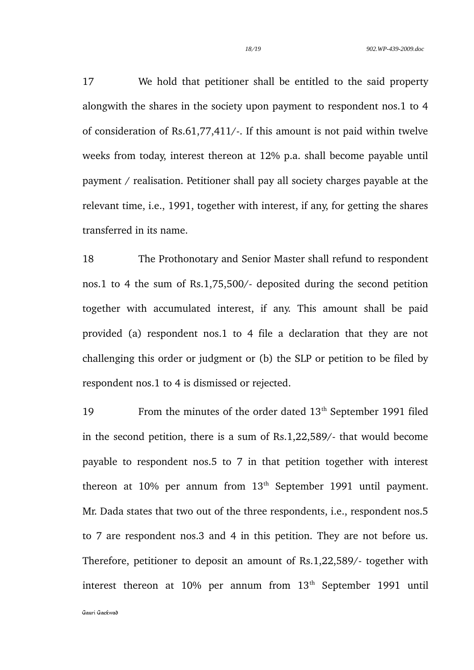17 We hold that petitioner shall be entitled to the said property alongwith the shares in the society upon payment to respondent nos.1 to 4 of consideration of Rs.61,77,411/-. If this amount is not paid within twelve weeks from today, interest thereon at 12% p.a. shall become payable until payment / realisation. Petitioner shall pay all society charges payable at the relevant time, i.e., 1991, together with interest, if any, for getting the shares transferred in its name.

18 The Prothonotary and Senior Master shall refund to respondent nos.1 to 4 the sum of Rs.1,75,500/- deposited during the second petition together with accumulated interest, if any. This amount shall be paid provided (a) respondent nos.1 to 4 file a declaration that they are not challenging this order or judgment or (b) the SLP or petition to be filed by respondent nos.1 to 4 is dismissed or rejected.

19 From the minutes of the order dated 13<sup>th</sup> September 1991 filed in the second petition, there is a sum of Rs.1,22,589/- that would become payable to respondent nos.5 to 7 in that petition together with interest thereon at 10% per annum from  $13<sup>th</sup>$  September 1991 until payment. Mr. Dada states that two out of the three respondents, i.e., respondent nos.5 to 7 are respondent nos.3 and 4 in this petition. They are not before us. Therefore, petitioner to deposit an amount of Rs.1,22,589/- together with interest thereon at  $10\%$  per annum from  $13<sup>th</sup>$  September 1991 until